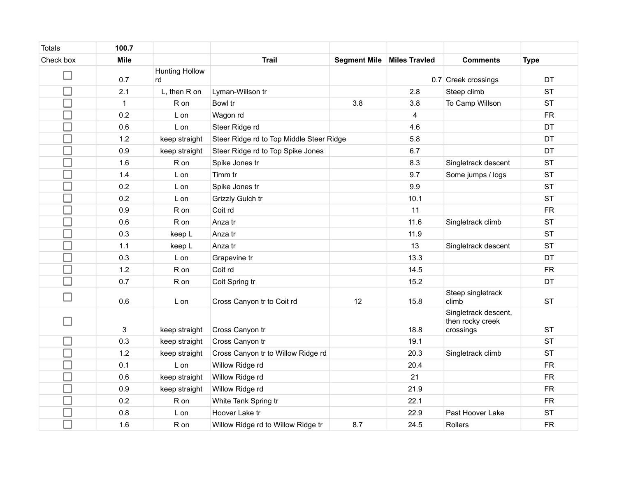| <b>Totals</b> | 100.7        |                             |                                          |                     |                      |                                                       |             |
|---------------|--------------|-----------------------------|------------------------------------------|---------------------|----------------------|-------------------------------------------------------|-------------|
| Check box     | <b>Mile</b>  |                             | <b>Trail</b>                             | <b>Segment Mile</b> | <b>Miles Travled</b> | <b>Comments</b>                                       | <b>Type</b> |
|               | 0.7          | <b>Hunting Hollow</b><br>rd |                                          |                     |                      | 0.7 Creek crossings                                   | <b>DT</b>   |
|               | 2.1          | L, then R on                | Lyman-Willson tr                         |                     | 2.8                  | Steep climb                                           | <b>ST</b>   |
| $\Box$        | $\mathbf{1}$ | R on                        | Bowl tr                                  | 3.8                 | 3.8                  | To Camp Willson                                       | <b>ST</b>   |
|               | 0.2          | L on                        | Wagon rd                                 |                     | 4                    |                                                       | <b>FR</b>   |
| $\Box$        | 0.6          | L on                        | Steer Ridge rd                           |                     | 4.6                  |                                                       | DT          |
| $\Box$        | 1.2          | keep straight               | Steer Ridge rd to Top Middle Steer Ridge |                     | 5.8                  |                                                       | DT          |
| $\Box$        | 0.9          | keep straight               | Steer Ridge rd to Top Spike Jones        |                     | 6.7                  |                                                       | <b>DT</b>   |
| $\Box$        | 1.6          | R on                        | Spike Jones tr                           |                     | 8.3                  | Singletrack descent                                   | <b>ST</b>   |
| $\Box$        | 1.4          | L on                        | Timm tr                                  |                     | 9.7                  | Some jumps / logs                                     | <b>ST</b>   |
| $\Box$        | 0.2          | L on                        | Spike Jones tr                           |                     | 9.9                  |                                                       | <b>ST</b>   |
| $\Box$        | 0.2          | L on                        | Grizzly Gulch tr                         |                     | 10.1                 |                                                       | <b>ST</b>   |
| $\Box$        | 0.9          | R on                        | Coit rd                                  |                     | 11                   |                                                       | <b>FR</b>   |
| $\Box$        | 0.6          | R on                        | Anza tr                                  |                     | 11.6                 | Singletrack climb                                     | <b>ST</b>   |
| $\Box$        | 0.3          | keep L                      | Anza tr                                  |                     | 11.9                 |                                                       | <b>ST</b>   |
| $\Box$        | 1.1          | keep L                      | Anza tr                                  |                     | 13                   | Singletrack descent                                   | <b>ST</b>   |
| $\Box$        | 0.3          | L on                        | Grapevine tr                             |                     | 13.3                 |                                                       | DT          |
| □             | $1.2$        | R on                        | Coit rd                                  |                     | 14.5                 |                                                       | <b>FR</b>   |
|               | 0.7          | R on                        | Coit Spring tr                           |                     | 15.2                 |                                                       | DT          |
|               | 0.6          | L on                        | Cross Canyon tr to Coit rd               | 12                  | 15.8                 | Steep singletrack<br>climb                            | <b>ST</b>   |
|               | 3            | keep straight               | Cross Canyon tr                          |                     | 18.8                 | Singletrack descent,<br>then rocky creek<br>crossings | <b>ST</b>   |
|               | 0.3          | keep straight               | Cross Canyon tr                          |                     | 19.1                 |                                                       | <b>ST</b>   |
| $\Box$        | 1.2          | keep straight               | Cross Canyon tr to Willow Ridge rd       |                     | 20.3                 | Singletrack climb                                     | <b>ST</b>   |
| Π             | 0.1          | L on                        | Willow Ridge rd                          |                     | 20.4                 |                                                       | <b>FR</b>   |
| $\Box$        | 0.6          | keep straight               | Willow Ridge rd                          |                     | 21                   |                                                       | <b>FR</b>   |
| $\Box$        | 0.9          | keep straight               | Willow Ridge rd                          |                     | 21.9                 |                                                       | <b>FR</b>   |
| $\Box$        | 0.2          | R on                        | White Tank Spring tr                     |                     | 22.1                 |                                                       | <b>FR</b>   |
| $\Box$        | 0.8          | L on                        | Hoover Lake tr                           |                     | 22.9                 | Past Hoover Lake                                      | <b>ST</b>   |
|               | 1.6          | R on                        | Willow Ridge rd to Willow Ridge tr       | 8.7                 | 24.5                 | Rollers                                               | <b>FR</b>   |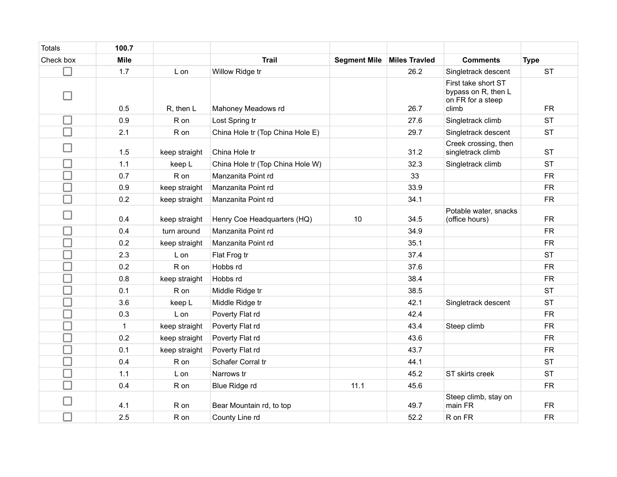| <b>Totals</b> | 100.7        |               |                                  |                     |                      |                                                                          |             |
|---------------|--------------|---------------|----------------------------------|---------------------|----------------------|--------------------------------------------------------------------------|-------------|
| Check box     | <b>Mile</b>  |               | <b>Trail</b>                     | <b>Segment Mile</b> | <b>Miles Travled</b> | <b>Comments</b>                                                          | <b>Type</b> |
|               | 1.7          | L on          | Willow Ridge tr                  |                     | 26.2                 | Singletrack descent                                                      | <b>ST</b>   |
|               | 0.5          | R, then L     | Mahoney Meadows rd               |                     | 26.7                 | First take short ST<br>bypass on R, then L<br>on FR for a steep<br>climb | <b>FR</b>   |
|               | 0.9          | R on          | Lost Spring tr                   |                     | 27.6                 | Singletrack climb                                                        | <b>ST</b>   |
|               | 2.1          | R on          | China Hole tr (Top China Hole E) |                     | 29.7                 | Singletrack descent                                                      | <b>ST</b>   |
|               | 1.5          | keep straight | China Hole tr                    |                     | 31.2                 | Creek crossing, then<br>singletrack climb                                | <b>ST</b>   |
|               | 1.1          | keep L        | China Hole tr (Top China Hole W) |                     | 32.3                 | Singletrack climb                                                        | <b>ST</b>   |
| □             | 0.7          | R on          | Manzanita Point rd               |                     | 33                   |                                                                          | <b>FR</b>   |
| $\Box$        | 0.9          | keep straight | Manzanita Point rd               |                     | 33.9                 |                                                                          | <b>FR</b>   |
| П             | 0.2          | keep straight | Manzanita Point rd               |                     | 34.1                 |                                                                          | <b>FR</b>   |
|               | 0.4          | keep straight | Henry Coe Headquarters (HQ)      | 10                  | 34.5                 | Potable water, snacks<br>(office hours)                                  | <b>FR</b>   |
|               | 0.4          | turn around   | Manzanita Point rd               |                     | 34.9                 |                                                                          | <b>FR</b>   |
|               | 0.2          | keep straight | Manzanita Point rd               |                     | 35.1                 |                                                                          | <b>FR</b>   |
| □             | 2.3          | L on          | Flat Frog tr                     |                     | 37.4                 |                                                                          | <b>ST</b>   |
|               | 0.2          | R on          | Hobbs rd                         |                     | 37.6                 |                                                                          | <b>FR</b>   |
| $\Box$        | 0.8          | keep straight | Hobbs rd                         |                     | 38.4                 |                                                                          | <b>FR</b>   |
| $\Box$        | 0.1          | R on          | Middle Ridge tr                  |                     | 38.5                 |                                                                          | <b>ST</b>   |
| $\Box$        | 3.6          | keep L        | Middle Ridge tr                  |                     | 42.1                 | Singletrack descent                                                      | <b>ST</b>   |
| $\Box$        | 0.3          | L on          | Poverty Flat rd                  |                     | 42.4                 |                                                                          | <b>FR</b>   |
| $\Box$        | $\mathbf{1}$ | keep straight | Poverty Flat rd                  |                     | 43.4                 | Steep climb                                                              | <b>FR</b>   |
|               | 0.2          | keep straight | Poverty Flat rd                  |                     | 43.6                 |                                                                          | <b>FR</b>   |
| $\Box$        | 0.1          | keep straight | Poverty Flat rd                  |                     | 43.7                 |                                                                          | <b>FR</b>   |
| $\Box$        | 0.4          | R on          | Schafer Corral tr                |                     | 44.1                 |                                                                          | <b>ST</b>   |
|               | 1.1          | L on          | Narrows tr                       |                     | 45.2                 | ST skirts creek                                                          | <b>ST</b>   |
|               | 0.4          | R on          | Blue Ridge rd                    | 11.1                | 45.6                 |                                                                          | <b>FR</b>   |
|               | 4.1          | R on          | Bear Mountain rd, to top         |                     | 49.7                 | Steep climb, stay on<br>main FR                                          | <b>FR</b>   |
|               | 2.5          | R on          | County Line rd                   |                     | 52.2                 | R on FR                                                                  | <b>FR</b>   |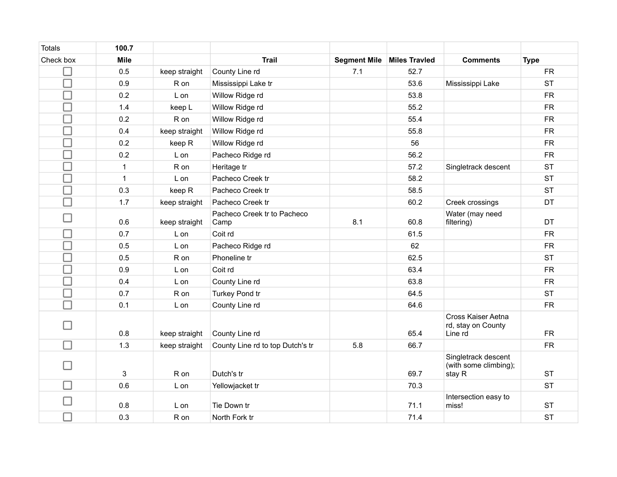| <b>Totals</b> | 100.7        |               |                                     |                     |                      |                                                        |             |
|---------------|--------------|---------------|-------------------------------------|---------------------|----------------------|--------------------------------------------------------|-------------|
| Check box     | <b>Mile</b>  |               | <b>Trail</b>                        | <b>Segment Mile</b> | <b>Miles Travled</b> | <b>Comments</b>                                        | <b>Type</b> |
|               | 0.5          | keep straight | County Line rd                      | 7.1                 | 52.7                 |                                                        | <b>FR</b>   |
|               | 0.9          | R on          | Mississippi Lake tr                 |                     | 53.6                 | Mississippi Lake                                       | <b>ST</b>   |
| $\Box$        | 0.2          | L on          | Willow Ridge rd                     |                     | 53.8                 |                                                        | <b>FR</b>   |
| $\Box$        | 1.4          | keep L        | Willow Ridge rd                     |                     | 55.2                 |                                                        | <b>FR</b>   |
| $\Box$        | 0.2          | R on          | Willow Ridge rd                     |                     | 55.4                 |                                                        | <b>FR</b>   |
| $\Box$        | 0.4          | keep straight | Willow Ridge rd                     |                     | 55.8                 |                                                        | ${\sf FR}$  |
| $\Box$        | 0.2          | keep R        | Willow Ridge rd                     |                     | 56                   |                                                        | <b>FR</b>   |
| $\Box$        | 0.2          | L on          | Pacheco Ridge rd                    |                     | 56.2                 |                                                        | ${\sf FR}$  |
| $\Box$        | $\mathbf{1}$ | R on          | Heritage tr                         |                     | 57.2                 | Singletrack descent                                    | <b>ST</b>   |
| $\Box$        | $\mathbf{1}$ | L on          | Pacheco Creek tr                    |                     | 58.2                 |                                                        | <b>ST</b>   |
| $\Box$        | 0.3          | keep R        | Pacheco Creek tr                    |                     | 58.5                 |                                                        | <b>ST</b>   |
| $\Box$        | 1.7          | keep straight | Pacheco Creek tr                    |                     | 60.2                 | Creek crossings                                        | DT          |
| - 1           | 0.6          | keep straight | Pacheco Creek tr to Pacheco<br>Camp | 8.1                 | 60.8                 | Water (may need<br>filtering)                          | <b>DT</b>   |
| コ             | 0.7          | L on          | Coit rd                             |                     | 61.5                 |                                                        | <b>FR</b>   |
| $\Box$        | 0.5          | L on          | Pacheco Ridge rd                    |                     | 62                   |                                                        | <b>FR</b>   |
| $\Box$        | 0.5          | R on          | Phoneline tr                        |                     | 62.5                 |                                                        | <b>ST</b>   |
| $\Box$        | 0.9          | L on          | Coit rd                             |                     | 63.4                 |                                                        | <b>FR</b>   |
| $\Box$        | 0.4          | L on          | County Line rd                      |                     | 63.8                 |                                                        | <b>FR</b>   |
| $\Box$        | 0.7          | R on          | Turkey Pond tr                      |                     | 64.5                 |                                                        | <b>ST</b>   |
| П             | 0.1          | L on          | County Line rd                      |                     | 64.6                 |                                                        | <b>FR</b>   |
|               | 0.8          | keep straight | County Line rd                      |                     | 65.4                 | Cross Kaiser Aetna<br>rd, stay on County<br>Line rd    | <b>FR</b>   |
|               | 1.3          | keep straight | County Line rd to top Dutch's tr    | 5.8                 | 66.7                 |                                                        | ${\sf FR}$  |
|               | 3            | R on          | Dutch's tr                          |                     | 69.7                 | Singletrack descent<br>(with some climbing);<br>stay R | <b>ST</b>   |
|               | 0.6          | L on          | Yellowjacket tr                     |                     | 70.3                 |                                                        | <b>ST</b>   |
|               | 0.8          | L on          | Tie Down tr                         |                     | 71.1                 | Intersection easy to<br>miss!                          | <b>ST</b>   |
|               | 0.3          | R on          | North Fork tr                       |                     | 71.4                 |                                                        | <b>ST</b>   |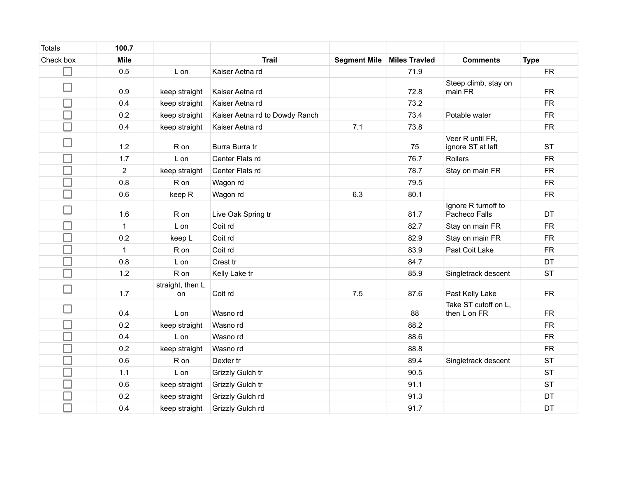| <b>Totals</b> | 100.7          |                        |                                |                     |                      |                                       |             |
|---------------|----------------|------------------------|--------------------------------|---------------------|----------------------|---------------------------------------|-------------|
| Check box     | <b>Mile</b>    |                        | <b>Trail</b>                   | <b>Segment Mile</b> | <b>Miles Travled</b> | <b>Comments</b>                       | <b>Type</b> |
|               | 0.5            | L on                   | Kaiser Aetna rd                |                     | 71.9                 |                                       | <b>FR</b>   |
|               |                |                        |                                |                     |                      | Steep climb, stay on                  |             |
|               | 0.9            | keep straight          | Kaiser Aetna rd                |                     | 72.8                 | main FR                               | <b>FR</b>   |
|               | 0.4            | keep straight          | Kaiser Aetna rd                |                     | 73.2                 |                                       | ${\sf FR}$  |
| ⊐             | 0.2            | keep straight          | Kaiser Aetna rd to Dowdy Ranch |                     | 73.4                 | Potable water                         | ${\sf FR}$  |
| □             | 0.4            | keep straight          | Kaiser Aetna rd                | 7.1                 | 73.8                 |                                       | <b>FR</b>   |
|               | 1.2            | R on                   | Burra Burra tr                 |                     | 75                   | Veer R until FR,<br>ignore ST at left | <b>ST</b>   |
| □             | 1.7            | L on                   | Center Flats rd                |                     | 76.7                 | Rollers                               | <b>FR</b>   |
| ⊐             | $\overline{2}$ | keep straight          | Center Flats rd                |                     | 78.7                 | Stay on main FR                       | <b>FR</b>   |
| $\Box$        | 0.8            | R on                   | Wagon rd                       |                     | 79.5                 |                                       | <b>FR</b>   |
| $\Box$        | 0.6            | keep R                 | Wagon rd                       | 6.3                 | 80.1                 |                                       | ${\sf FR}$  |
| $\Box$        | 1.6            | R on                   | Live Oak Spring tr             |                     | 81.7                 | Ignore R turnoff to<br>Pacheco Falls  | <b>DT</b>   |
| □             | 1              | L on                   | Coit rd                        |                     | 82.7                 | Stay on main FR                       | <b>FR</b>   |
| ⊐             | 0.2            | keep L                 | Coit rd                        |                     | 82.9                 | Stay on main FR                       | <b>FR</b>   |
| ⊐             | $\mathbf{1}$   | R on                   | Coit rd                        |                     | 83.9                 | Past Coit Lake                        | <b>FR</b>   |
| ⊒             | 0.8            | L on                   | Crest tr                       |                     | 84.7                 |                                       | DT          |
| $\Box$        | 1.2            | R on                   | Kelly Lake tr                  |                     | 85.9                 | Singletrack descent                   | <b>ST</b>   |
| $\Box$        | 1.7            | straight, then L<br>on | Coit rd                        | 7.5                 | 87.6                 | Past Kelly Lake                       | <b>FR</b>   |
| - 1           | 0.4            | L on                   | Wasno rd                       |                     | 88                   | Take ST cutoff on L,<br>then L on FR  | ${\sf FR}$  |
| $\Box$        | 0.2            | keep straight          | Wasno rd                       |                     | 88.2                 |                                       | ${\sf FR}$  |
| ⊐             | 0.4            | L on                   | Wasno rd                       |                     | 88.6                 |                                       | <b>FR</b>   |
| $\Box$        | 0.2            | keep straight          | Wasno rd                       |                     | 88.8                 |                                       | ${\sf FR}$  |
| ⊐             | 0.6            | R on                   | Dexter tr                      |                     | 89.4                 | Singletrack descent                   | <b>ST</b>   |
| $\Box$        | 1.1            | L on                   | Grizzly Gulch tr               |                     | 90.5                 |                                       | <b>ST</b>   |
| ⊐             | 0.6            | keep straight          | Grizzly Gulch tr               |                     | 91.1                 |                                       | <b>ST</b>   |
| ⊐             | 0.2            | keep straight          | Grizzly Gulch rd               |                     | 91.3                 |                                       | DT          |
|               | 0.4            | keep straight          | Grizzly Gulch rd               |                     | 91.7                 |                                       | DT          |